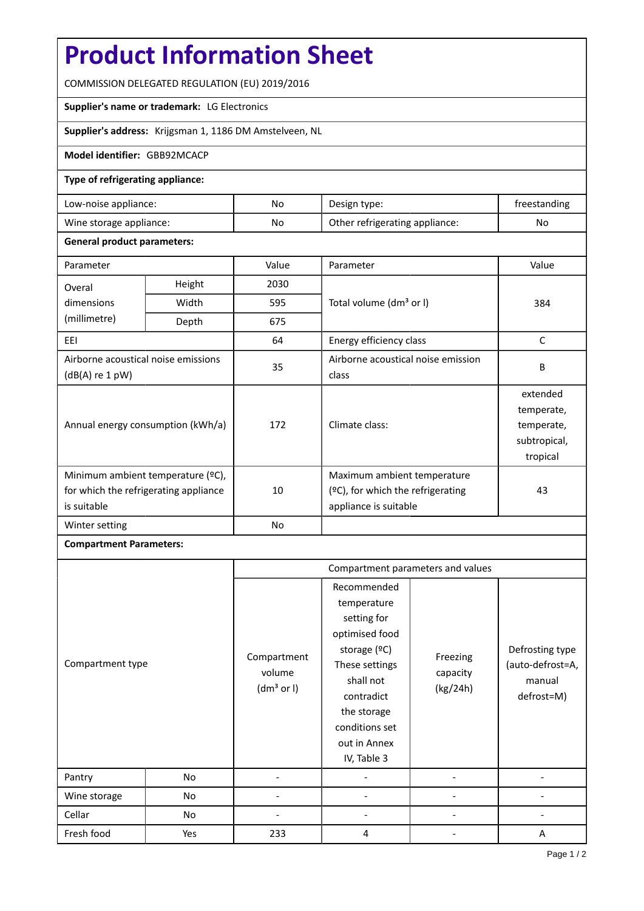# **Product Information Sheet**

COMMISSION DELEGATED REGULATION (EU) 2019/2016

## **Supplier's name or trademark:** LG Electronics

**Supplier's address:** Krijgsman 1, 1186 DM Amstelveen, NL

#### **Model identifier:** GBB92MCACP

#### **Type of refrigerating appliance:**

| Low-noise appliance:    | No | Design type:                   | treestanding |
|-------------------------|----|--------------------------------|--------------|
| Wine storage appliance: | No | Other refrigerating appliance: | No           |

#### **General product parameters:**

| Parameter                                                                                 |       | Value | Parameter                                                                                 | Value                                                            |
|-------------------------------------------------------------------------------------------|-------|-------|-------------------------------------------------------------------------------------------|------------------------------------------------------------------|
| Height<br>Overal                                                                          |       | 2030  |                                                                                           |                                                                  |
| dimensions                                                                                | Width | 595   | Total volume (dm <sup>3</sup> or I)                                                       | 384                                                              |
| (millimetre)                                                                              | Depth | 675   |                                                                                           |                                                                  |
| EEL                                                                                       |       | 64    | Energy efficiency class                                                                   | C                                                                |
| Airborne acoustical noise emissions<br>$(dB(A)$ re 1 pW)                                  |       | 35    | Airborne acoustical noise emission<br>class                                               | B                                                                |
| Annual energy consumption (kWh/a)                                                         |       | 172   | Climate class:                                                                            | extended<br>temperate,<br>temperate,<br>subtropical,<br>tropical |
| Minimum ambient temperature (°C),<br>for which the refrigerating appliance<br>is suitable |       | 10    | Maximum ambient temperature<br>(ºC), for which the refrigerating<br>appliance is suitable | 43                                                               |
| Winter setting                                                                            |       | No    |                                                                                           |                                                                  |

### **Compartment Parameters:**

|                  |     | Compartment parameters and values               |                                                                                                                                                                                          |                                  |                                                             |
|------------------|-----|-------------------------------------------------|------------------------------------------------------------------------------------------------------------------------------------------------------------------------------------------|----------------------------------|-------------------------------------------------------------|
| Compartment type |     | Compartment<br>volume<br>(dm <sup>3</sup> or I) | Recommended<br>temperature<br>setting for<br>optimised food<br>storage (ºC)<br>These settings<br>shall not<br>contradict<br>the storage<br>conditions set<br>out in Annex<br>IV, Table 3 | Freezing<br>capacity<br>(kg/24h) | Defrosting type<br>(auto-defrost=A,<br>manual<br>defrost=M) |
| Pantry           | No  |                                                 |                                                                                                                                                                                          |                                  |                                                             |
| Wine storage     | No  |                                                 |                                                                                                                                                                                          |                                  |                                                             |
| Cellar           | No  |                                                 |                                                                                                                                                                                          |                                  |                                                             |
| Fresh food       | Yes | 233                                             | 4                                                                                                                                                                                        |                                  | A                                                           |